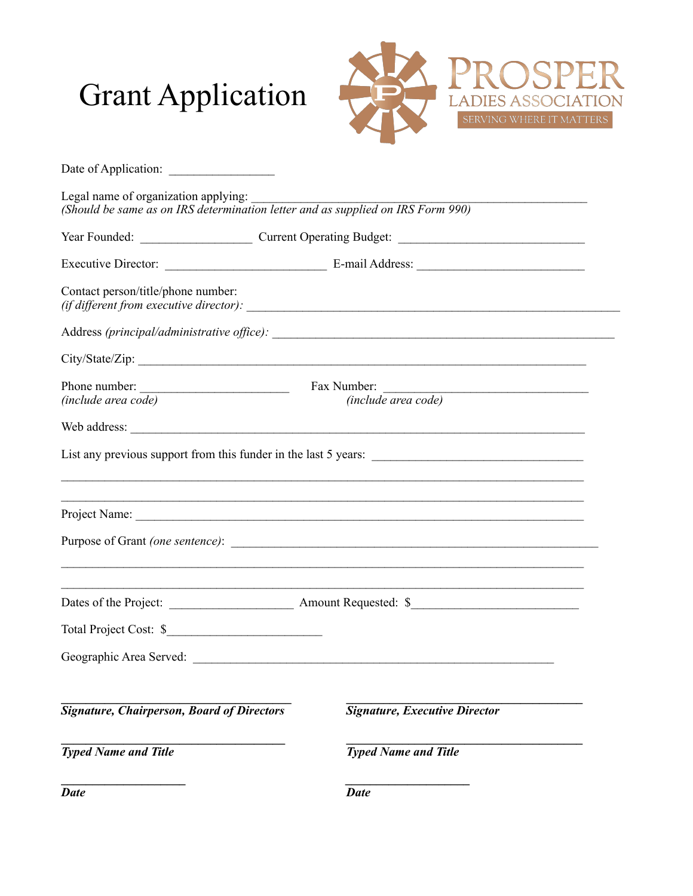# Grant Application



| Legal name of organization applying:<br>(Should be same as on IRS determination letter and as supplied on IRS Form 990) |                                                                                                                                                                                                                                |  |  |  |
|-------------------------------------------------------------------------------------------------------------------------|--------------------------------------------------------------------------------------------------------------------------------------------------------------------------------------------------------------------------------|--|--|--|
|                                                                                                                         |                                                                                                                                                                                                                                |  |  |  |
|                                                                                                                         |                                                                                                                                                                                                                                |  |  |  |
| Contact person/title/phone number:                                                                                      |                                                                                                                                                                                                                                |  |  |  |
|                                                                                                                         |                                                                                                                                                                                                                                |  |  |  |
|                                                                                                                         | City/State/Zip:                                                                                                                                                                                                                |  |  |  |
| Phone number:<br>Fax Number:<br>(include area code)<br><i>(include area code)</i>                                       |                                                                                                                                                                                                                                |  |  |  |
|                                                                                                                         |                                                                                                                                                                                                                                |  |  |  |
|                                                                                                                         |                                                                                                                                                                                                                                |  |  |  |
|                                                                                                                         |                                                                                                                                                                                                                                |  |  |  |
|                                                                                                                         |                                                                                                                                                                                                                                |  |  |  |
|                                                                                                                         |                                                                                                                                                                                                                                |  |  |  |
|                                                                                                                         |                                                                                                                                                                                                                                |  |  |  |
|                                                                                                                         |                                                                                                                                                                                                                                |  |  |  |
| Total Project Cost: \$                                                                                                  |                                                                                                                                                                                                                                |  |  |  |
|                                                                                                                         | Geographic Area Served: Law Contract Contract Contract Contract Contract Contract Contract Contract Contract Contract Contract Contract Contract Contract Contract Contract Contract Contract Contract Contract Contract Contr |  |  |  |
| <b>Signature, Chairperson, Board of Directors</b>                                                                       | <b>Signature, Executive Director</b>                                                                                                                                                                                           |  |  |  |
| <b>Typed Name and Title</b>                                                                                             | <b>Typed Name and Title</b>                                                                                                                                                                                                    |  |  |  |
| <b>Date</b>                                                                                                             | <b>Date</b>                                                                                                                                                                                                                    |  |  |  |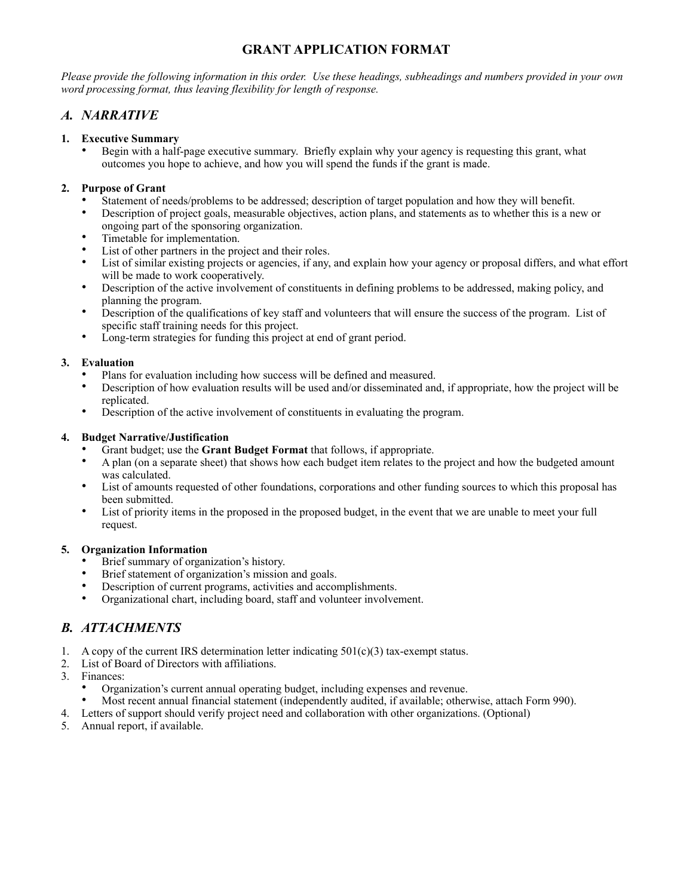## **GRANT APPLICATION FORMAT**

*Please provide the following information in this order. Use these headings, subheadings and numbers provided in your own word processing format, thus leaving flexibility for length of response.*

### *A. NARRATIVE*

#### **1. Executive Summary**

• Begin with a half-page executive summary. Briefly explain why your agency is requesting this grant, what outcomes you hope to achieve, and how you will spend the funds if the grant is made.

#### **2. Purpose of Grant**

- Statement of needs/problems to be addressed; description of target population and how they will benefit.
- Description of project goals, measurable objectives, action plans, and statements as to whether this is a new or ongoing part of the sponsoring organization.
- Timetable for implementation.
- List of other partners in the project and their roles.
- List of similar existing projects or agencies, if any, and explain how your agency or proposal differs, and what effort will be made to work cooperatively.
- Description of the active involvement of constituents in defining problems to be addressed, making policy, and planning the program.
- Description of the qualifications of key staff and volunteers that will ensure the success of the program. List of specific staff training needs for this project.
- Long-term strategies for funding this project at end of grant period.

#### **3. Evaluation**

- Plans for evaluation including how success will be defined and measured.
- Description of how evaluation results will be used and/or disseminated and, if appropriate, how the project will be replicated.
- Description of the active involvement of constituents in evaluating the program.

#### **4. Budget Narrative/Justification**

- Grant budget; use the **Grant Budget Format** that follows, if appropriate.
- A plan (on a separate sheet) that shows how each budget item relates to the project and how the budgeted amount was calculated.
- List of amounts requested of other foundations, corporations and other funding sources to which this proposal has been submitted.
- List of priority items in the proposed in the proposed budget, in the event that we are unable to meet your full request.

#### **5. Organization Information**

- Brief summary of organization's history.
- Brief statement of organization's mission and goals.
- Description of current programs, activities and accomplishments.
- Organizational chart, including board, staff and volunteer involvement.

## *B. ATTACHMENTS*

- 1. A copy of the current IRS determination letter indicating  $501(c)(3)$  tax-exempt status.
- 2. List of Board of Directors with affiliations.
- 3. Finances:
	- Organization's current annual operating budget, including expenses and revenue.
	- Most recent annual financial statement (independently audited, if available; otherwise, attach Form 990).
- 4. Letters of support should verify project need and collaboration with other organizations. (Optional)
- 5. Annual report, if available.